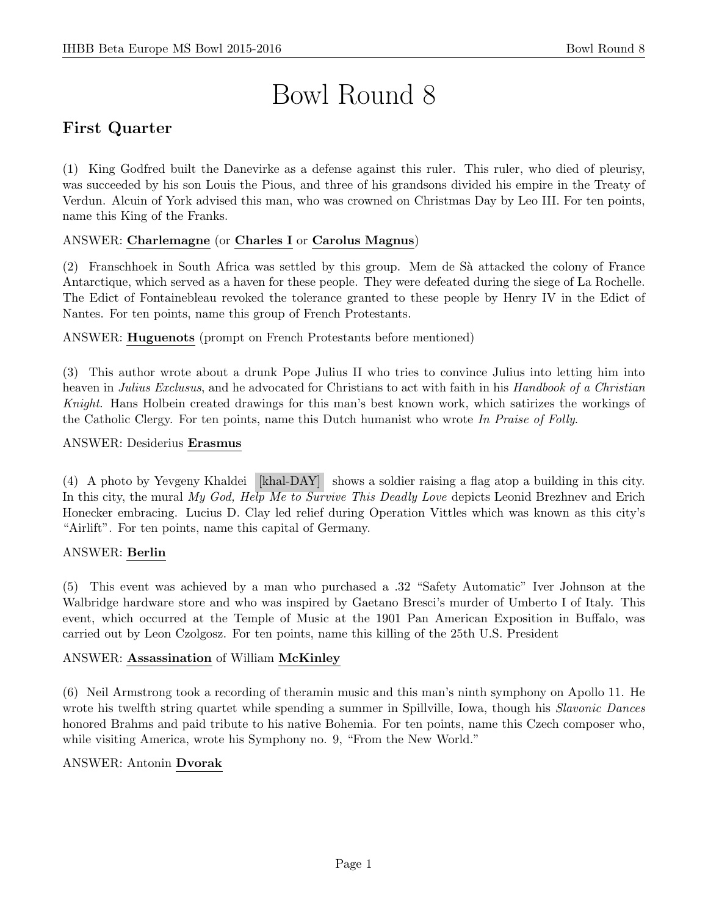# Bowl Round 8

# First Quarter

(1) King Godfred built the Danevirke as a defense against this ruler. This ruler, who died of pleurisy, was succeeded by his son Louis the Pious, and three of his grandsons divided his empire in the Treaty of Verdun. Alcuin of York advised this man, who was crowned on Christmas Day by Leo III. For ten points, name this King of the Franks.

#### ANSWER: Charlemagne (or Charles I or Carolus Magnus)

(2) Franschhoek in South Africa was settled by this group. Mem de Sà attacked the colony of France Antarctique, which served as a haven for these people. They were defeated during the siege of La Rochelle. The Edict of Fontainebleau revoked the tolerance granted to these people by Henry IV in the Edict of Nantes. For ten points, name this group of French Protestants.

ANSWER: Huguenots (prompt on French Protestants before mentioned)

(3) This author wrote about a drunk Pope Julius II who tries to convince Julius into letting him into heaven in Julius Exclusus, and he advocated for Christians to act with faith in his Handbook of a Christian Knight. Hans Holbein created drawings for this man's best known work, which satirizes the workings of the Catholic Clergy. For ten points, name this Dutch humanist who wrote In Praise of Folly.

#### ANSWER: Desiderius Erasmus

(4) A photo by Yevgeny Khaldei [khal-DAY] shows a soldier raising a flag atop a building in this city. In this city, the mural My God, Help Me to Survive This Deadly Love depicts Leonid Brezhnev and Erich Honecker embracing. Lucius D. Clay led relief during Operation Vittles which was known as this city's "Airlift". For ten points, name this capital of Germany.

#### ANSWER: Berlin

(5) This event was achieved by a man who purchased a .32 "Safety Automatic" Iver Johnson at the Walbridge hardware store and who was inspired by Gaetano Bresci's murder of Umberto I of Italy. This event, which occurred at the Temple of Music at the 1901 Pan American Exposition in Buffalo, was carried out by Leon Czolgosz. For ten points, name this killing of the 25th U.S. President

#### ANSWER: Assassination of William McKinley

(6) Neil Armstrong took a recording of theramin music and this man's ninth symphony on Apollo 11. He wrote his twelfth string quartet while spending a summer in Spillville, Iowa, though his *Slavonic Dances* honored Brahms and paid tribute to his native Bohemia. For ten points, name this Czech composer who, while visiting America, wrote his Symphony no. 9, "From the New World."

#### ANSWER: Antonin Dvorak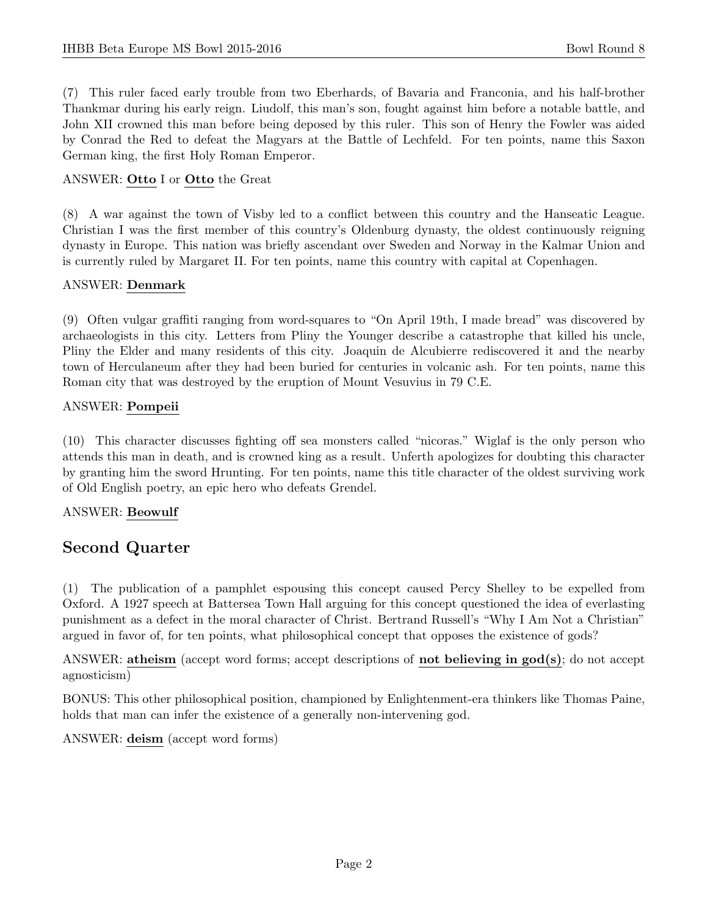(7) This ruler faced early trouble from two Eberhards, of Bavaria and Franconia, and his half-brother Thankmar during his early reign. Liudolf, this man's son, fought against him before a notable battle, and John XII crowned this man before being deposed by this ruler. This son of Henry the Fowler was aided by Conrad the Red to defeat the Magyars at the Battle of Lechfeld. For ten points, name this Saxon German king, the first Holy Roman Emperor.

#### ANSWER: Otto I or Otto the Great

(8) A war against the town of Visby led to a conflict between this country and the Hanseatic League. Christian I was the first member of this country's Oldenburg dynasty, the oldest continuously reigning dynasty in Europe. This nation was briefly ascendant over Sweden and Norway in the Kalmar Union and is currently ruled by Margaret II. For ten points, name this country with capital at Copenhagen.

#### ANSWER: Denmark

(9) Often vulgar graffiti ranging from word-squares to "On April 19th, I made bread" was discovered by archaeologists in this city. Letters from Pliny the Younger describe a catastrophe that killed his uncle, Pliny the Elder and many residents of this city. Joaquin de Alcubierre rediscovered it and the nearby town of Herculaneum after they had been buried for centuries in volcanic ash. For ten points, name this Roman city that was destroyed by the eruption of Mount Vesuvius in 79 C.E.

#### ANSWER: Pompeii

(10) This character discusses fighting off sea monsters called "nicoras." Wiglaf is the only person who attends this man in death, and is crowned king as a result. Unferth apologizes for doubting this character by granting him the sword Hrunting. For ten points, name this title character of the oldest surviving work of Old English poetry, an epic hero who defeats Grendel.

#### ANSWER: Beowulf

### Second Quarter

(1) The publication of a pamphlet espousing this concept caused Percy Shelley to be expelled from Oxford. A 1927 speech at Battersea Town Hall arguing for this concept questioned the idea of everlasting punishment as a defect in the moral character of Christ. Bertrand Russell's "Why I Am Not a Christian" argued in favor of, for ten points, what philosophical concept that opposes the existence of gods?

ANSWER: atheism (accept word forms; accept descriptions of not believing in god(s); do not accept agnosticism)

BONUS: This other philosophical position, championed by Enlightenment-era thinkers like Thomas Paine, holds that man can infer the existence of a generally non-intervening god.

ANSWER: deism (accept word forms)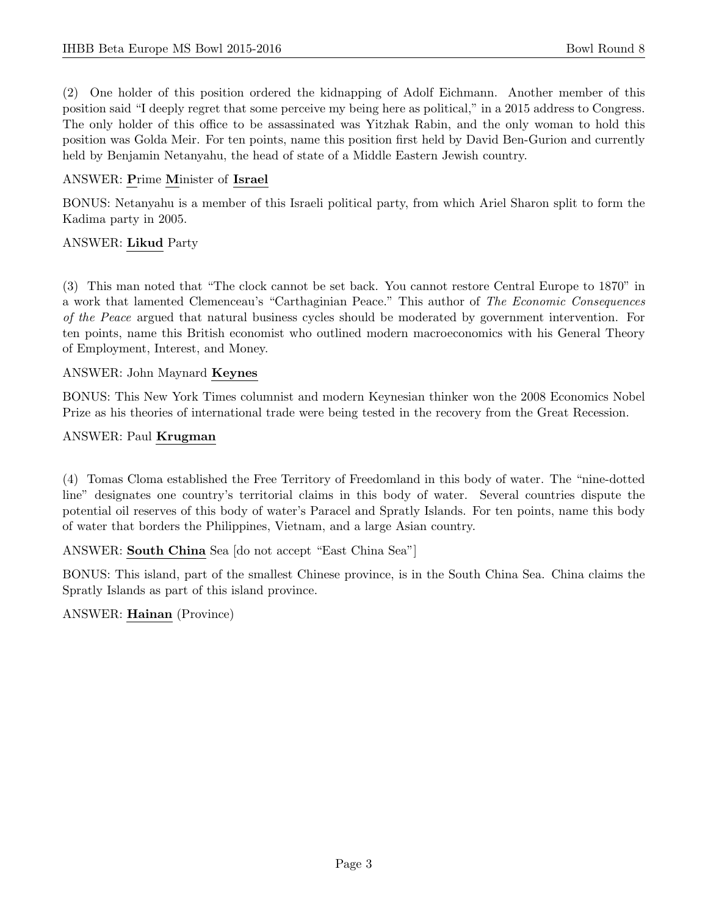(2) One holder of this position ordered the kidnapping of Adolf Eichmann. Another member of this position said "I deeply regret that some perceive my being here as political," in a 2015 address to Congress. The only holder of this office to be assassinated was Yitzhak Rabin, and the only woman to hold this position was Golda Meir. For ten points, name this position first held by David Ben-Gurion and currently held by Benjamin Netanyahu, the head of state of a Middle Eastern Jewish country.

#### ANSWER: Prime Minister of Israel

BONUS: Netanyahu is a member of this Israeli political party, from which Ariel Sharon split to form the Kadima party in 2005.

#### ANSWER: Likud Party

(3) This man noted that "The clock cannot be set back. You cannot restore Central Europe to 1870" in a work that lamented Clemenceau's "Carthaginian Peace." This author of The Economic Consequences of the Peace argued that natural business cycles should be moderated by government intervention. For ten points, name this British economist who outlined modern macroeconomics with his General Theory of Employment, Interest, and Money.

#### ANSWER: John Maynard Keynes

BONUS: This New York Times columnist and modern Keynesian thinker won the 2008 Economics Nobel Prize as his theories of international trade were being tested in the recovery from the Great Recession.

#### ANSWER: Paul Krugman

(4) Tomas Cloma established the Free Territory of Freedomland in this body of water. The "nine-dotted line" designates one country's territorial claims in this body of water. Several countries dispute the potential oil reserves of this body of water's Paracel and Spratly Islands. For ten points, name this body of water that borders the Philippines, Vietnam, and a large Asian country.

ANSWER: South China Sea [do not accept "East China Sea"]

BONUS: This island, part of the smallest Chinese province, is in the South China Sea. China claims the Spratly Islands as part of this island province.

ANSWER: Hainan (Province)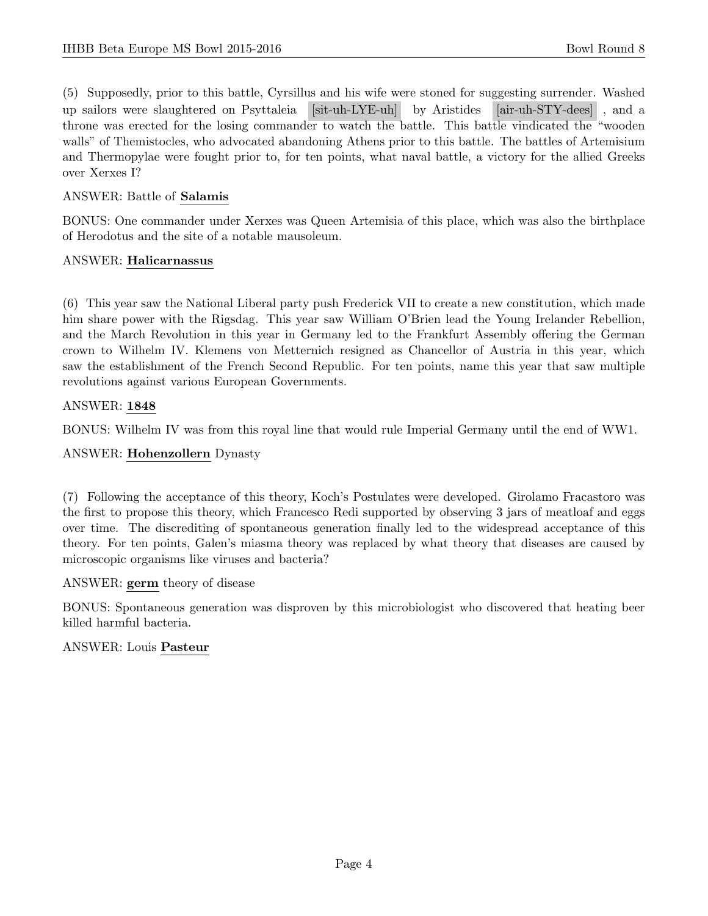(5) Supposedly, prior to this battle, Cyrsillus and his wife were stoned for suggesting surrender. Washed up sailors were slaughtered on Psyttaleia [sit-uh-LYE-uh] by Aristides [air-uh-STY-dees] , and a throne was erected for the losing commander to watch the battle. This battle vindicated the "wooden walls" of Themistocles, who advocated abandoning Athens prior to this battle. The battles of Artemisium and Thermopylae were fought prior to, for ten points, what naval battle, a victory for the allied Greeks over Xerxes I?

#### ANSWER: Battle of Salamis

BONUS: One commander under Xerxes was Queen Artemisia of this place, which was also the birthplace of Herodotus and the site of a notable mausoleum.

#### ANSWER: Halicarnassus

(6) This year saw the National Liberal party push Frederick VII to create a new constitution, which made him share power with the Rigsdag. This year saw William O'Brien lead the Young Irelander Rebellion, and the March Revolution in this year in Germany led to the Frankfurt Assembly offering the German crown to Wilhelm IV. Klemens von Metternich resigned as Chancellor of Austria in this year, which saw the establishment of the French Second Republic. For ten points, name this year that saw multiple revolutions against various European Governments.

#### ANSWER: 1848

BONUS: Wilhelm IV was from this royal line that would rule Imperial Germany until the end of WW1.

#### ANSWER: Hohenzollern Dynasty

(7) Following the acceptance of this theory, Koch's Postulates were developed. Girolamo Fracastoro was the first to propose this theory, which Francesco Redi supported by observing 3 jars of meatloaf and eggs over time. The discrediting of spontaneous generation finally led to the widespread acceptance of this theory. For ten points, Galen's miasma theory was replaced by what theory that diseases are caused by microscopic organisms like viruses and bacteria?

#### ANSWER: germ theory of disease

BONUS: Spontaneous generation was disproven by this microbiologist who discovered that heating beer killed harmful bacteria.

#### ANSWER: Louis Pasteur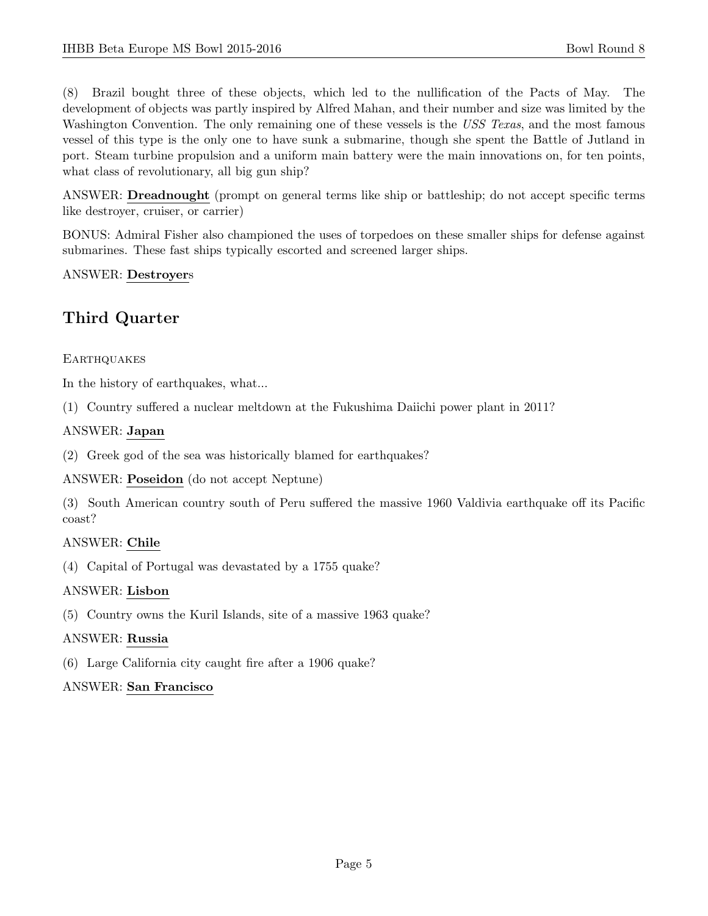(8) Brazil bought three of these objects, which led to the nullification of the Pacts of May. The development of objects was partly inspired by Alfred Mahan, and their number and size was limited by the Washington Convention. The only remaining one of these vessels is the USS Texas, and the most famous vessel of this type is the only one to have sunk a submarine, though she spent the Battle of Jutland in port. Steam turbine propulsion and a uniform main battery were the main innovations on, for ten points, what class of revolutionary, all big gun ship?

ANSWER: Dreadnought (prompt on general terms like ship or battleship; do not accept specific terms like destroyer, cruiser, or carrier)

BONUS: Admiral Fisher also championed the uses of torpedoes on these smaller ships for defense against submarines. These fast ships typically escorted and screened larger ships.

#### ANSWER: Destroyers

## Third Quarter

#### **EARTHQUAKES**

In the history of earthquakes, what...

(1) Country suffered a nuclear meltdown at the Fukushima Daiichi power plant in 2011?

#### ANSWER: Japan

(2) Greek god of the sea was historically blamed for earthquakes?

ANSWER: Poseidon (do not accept Neptune)

(3) South American country south of Peru suffered the massive 1960 Valdivia earthquake off its Pacific coast?

#### ANSWER: Chile

(4) Capital of Portugal was devastated by a 1755 quake?

#### ANSWER: Lisbon

(5) Country owns the Kuril Islands, site of a massive 1963 quake?

#### ANSWER: Russia

(6) Large California city caught fire after a 1906 quake?

#### ANSWER: San Francisco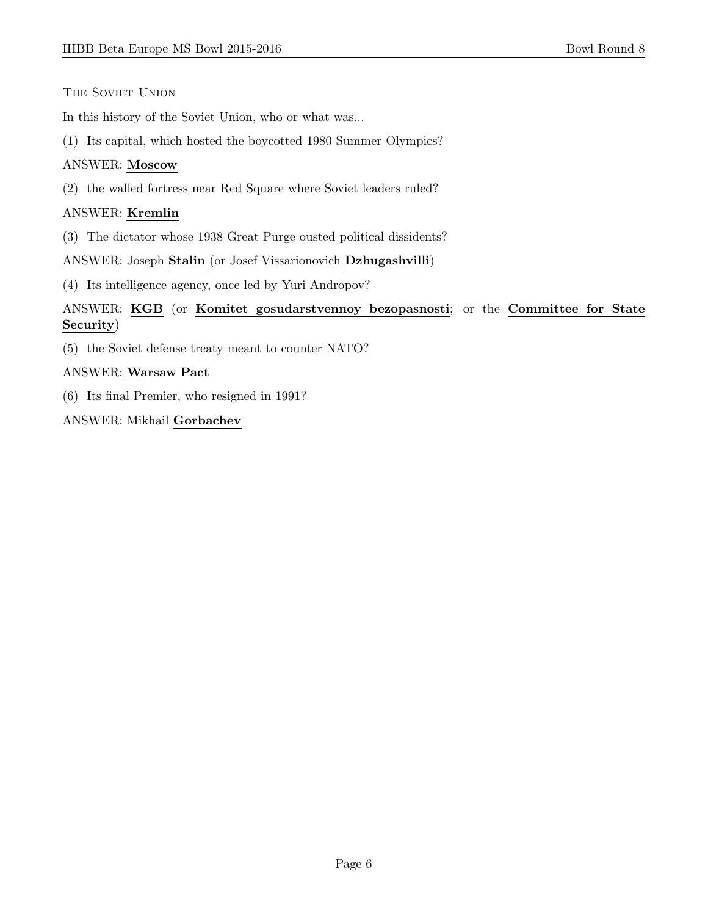#### THE SOVIET UNION

In this history of the Soviet Union, who or what was...

(1) Its capital, which hosted the boycotted 1980 Summer Olympics?

#### ANSWER: Moscow

(2) the walled fortress near Red Square where Soviet leaders ruled?

#### ANSWER: Kremlin

(3) The dictator whose 1938 Great Purge ousted political dissidents?

ANSWER: Joseph Stalin (or Josef Vissarionovich Dzhugashvilli)

(4) Its intelligence agency, once led by Yuri Andropov?

#### ANSWER: KGB (or Komitet gosudarstvennoy bezopasnosti; or the Committee for State Security)

(5) the Soviet defense treaty meant to counter NATO?

#### ANSWER: Warsaw Pact

(6) Its final Premier, who resigned in 1991?

ANSWER: Mikhail Gorbachev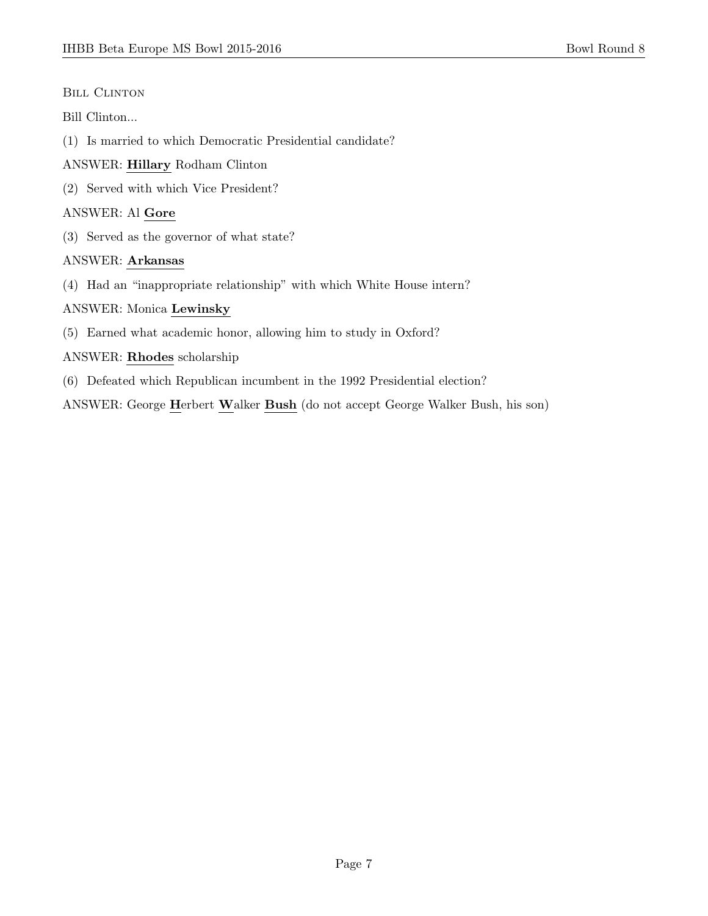#### BILL CLINTON

#### Bill Clinton...

- (1) Is married to which Democratic Presidential candidate?
- ANSWER: Hillary Rodham Clinton
- (2) Served with which Vice President?

#### ANSWER: Al Gore

(3) Served as the governor of what state?

#### ANSWER: Arkansas

(4) Had an "inappropriate relationship" with which White House intern?

#### ANSWER: Monica Lewinsky

(5) Earned what academic honor, allowing him to study in Oxford?

#### ANSWER: Rhodes scholarship

(6) Defeated which Republican incumbent in the 1992 Presidential election?

ANSWER: George Herbert Walker Bush (do not accept George Walker Bush, his son)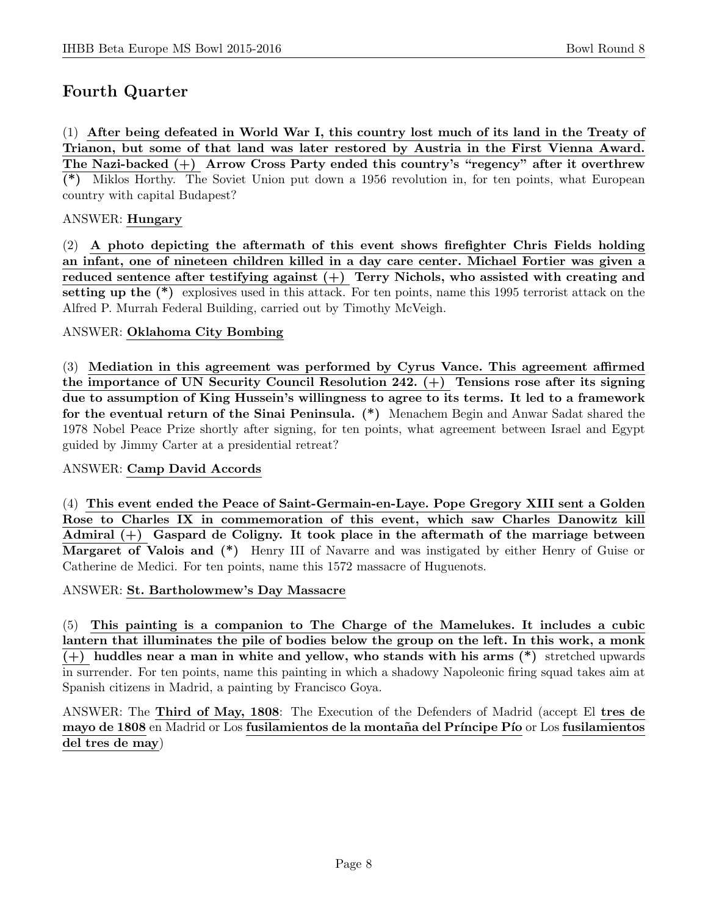# Fourth Quarter

(1) After being defeated in World War I, this country lost much of its land in the Treaty of Trianon, but some of that land was later restored by Austria in the First Vienna Award. The Nazi-backed (+) Arrow Cross Party ended this country's "regency" after it overthrew (\*) Miklos Horthy. The Soviet Union put down a 1956 revolution in, for ten points, what European country with capital Budapest?

#### ANSWER: Hungary

(2) A photo depicting the aftermath of this event shows firefighter Chris Fields holding an infant, one of nineteen children killed in a day care center. Michael Fortier was given a reduced sentence after testifying against  $(+)$  Terry Nichols, who assisted with creating and setting up the (\*) explosives used in this attack. For ten points, name this 1995 terrorist attack on the Alfred P. Murrah Federal Building, carried out by Timothy McVeigh.

#### ANSWER: Oklahoma City Bombing

(3) Mediation in this agreement was performed by Cyrus Vance. This agreement affirmed the importance of UN Security Council Resolution 242.  $(+)$  Tensions rose after its signing due to assumption of King Hussein's willingness to agree to its terms. It led to a framework for the eventual return of the Sinai Peninsula. (\*) Menachem Begin and Anwar Sadat shared the 1978 Nobel Peace Prize shortly after signing, for ten points, what agreement between Israel and Egypt guided by Jimmy Carter at a presidential retreat?

#### ANSWER: Camp David Accords

(4) This event ended the Peace of Saint-Germain-en-Laye. Pope Gregory XIII sent a Golden Rose to Charles IX in commemoration of this event, which saw Charles Danowitz kill Admiral  $(+)$  Gaspard de Coligny. It took place in the aftermath of the marriage between Margaret of Valois and (\*) Henry III of Navarre and was instigated by either Henry of Guise or Catherine de Medici. For ten points, name this 1572 massacre of Huguenots.

ANSWER: St. Bartholowmew's Day Massacre

(5) This painting is a companion to The Charge of the Mamelukes. It includes a cubic lantern that illuminates the pile of bodies below the group on the left. In this work, a monk  $(+)$  huddles near a man in white and yellow, who stands with his arms  $(*)$  stretched upwards in surrender. For ten points, name this painting in which a shadowy Napoleonic firing squad takes aim at Spanish citizens in Madrid, a painting by Francisco Goya.

ANSWER: The Third of May, 1808: The Execution of the Defenders of Madrid (accept El tres de mayo de 1808 en Madrid or Los fusilamientos de la montaña del Príncipe Pío or Los fusilamientos del tres de may)